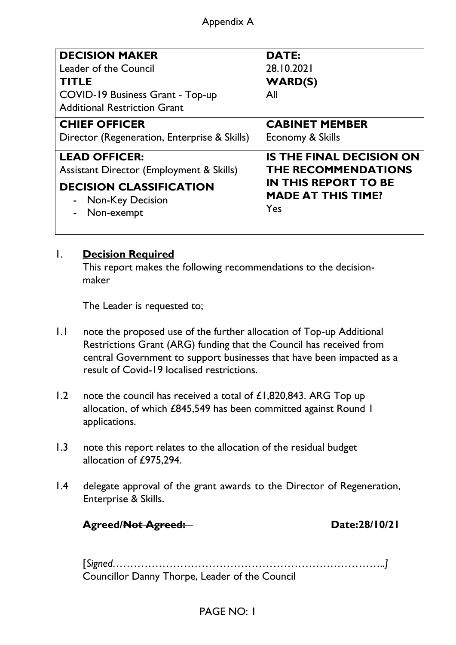### Appendix A

| <b>DECISION MAKER</b>                               | <b>DATE:</b>                    |
|-----------------------------------------------------|---------------------------------|
| Leader of the Council                               | 28.10.2021                      |
| <b>TITLE</b>                                        | <b>WARD(S)</b>                  |
| COVID-19 Business Grant - Top-up                    | All                             |
| <b>Additional Restriction Grant</b>                 |                                 |
| <b>CHIEF OFFICER</b>                                | <b>CABINET MEMBER</b>           |
| Director (Regeneration, Enterprise & Skills)        | Economy & Skills                |
| <b>LEAD OFFICER:</b>                                | <b>IS THE FINAL DECISION ON</b> |
| <b>Assistant Director (Employment &amp; Skills)</b> | <b>THE RECOMMENDATIONS</b>      |
| <b>DECISION CLASSIFICATION</b>                      | <b>IN THIS REPORT TO BE</b>     |
| <b>Non-Key Decision</b><br>$\blacksquare$           | <b>MADE AT THIS TIME?</b>       |
| Non-exempt                                          | Yes                             |
|                                                     |                                 |

### 1. **Decision Required**

This report makes the following recommendations to the decisionmaker

The Leader is requested to;

- 1.1 note the proposed use of the further allocation of Top-up Additional Restrictions Grant (ARG) funding that the Council has received from central Government to support businesses that have been impacted as a result of Covid-19 localised restrictions.
- 1.2 note the council has received a total of £1,820,843. ARG Top up allocation, of which £845,549 has been committed against Round 1 applications.
- 1.3 note this report relates to the allocation of the residual budget allocation of £975,294.
- 1.4 delegate approval of the grant awards to the Director of Regeneration, Enterprise & Skills.

**Agreed/Not Agreed: Date:28/10/21**

[*Signed…………………………………………………………………..]* Councillor Danny Thorpe, Leader of the Council

### PAGE NO: 1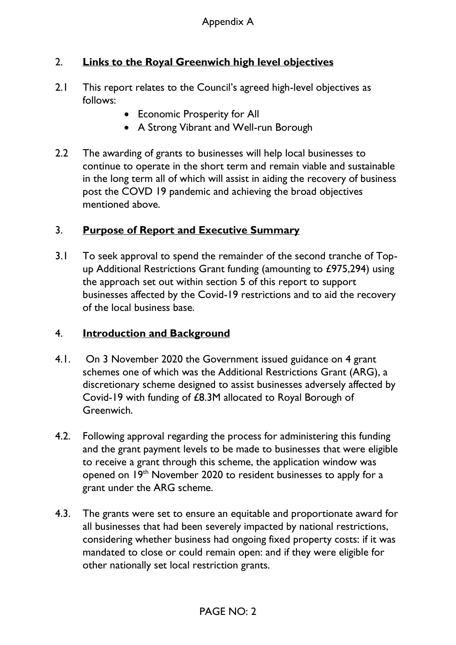## 2. **Links to the Royal Greenwich high level objectives**

- 2.1 This report relates to the Council's agreed high-level objectives as follows:
	- Economic Prosperity for All
	- A Strong Vibrant and Well-run Borough
- 2.2 The awarding of grants to businesses will help local businesses to continue to operate in the short term and remain viable and sustainable in the long term all of which will assist in aiding the recovery of business post the COVD 19 pandemic and achieving the broad objectives mentioned above.

# 3. **Purpose of Report and Executive Summary**

3.1 To seek approval to spend the remainder of the second tranche of Topup Additional Restrictions Grant funding (amounting to £975,294) using the approach set out within section 5 of this report to support businesses affected by the Covid-19 restrictions and to aid the recovery of the local business base.

### 4. **Introduction and Background**

- 4.1. On 3 November 2020 the Government issued guidance on 4 grant schemes one of which was the Additional Restrictions Grant (ARG), a discretionary scheme designed to assist businesses adversely affected by Covid-19 with funding of £8.3M allocated to Royal Borough of Greenwich.
- 4.2. Following approval regarding the process for administering this funding and the grant payment levels to be made to businesses that were eligible to receive a grant through this scheme, the application window was opened on 19<sup>th</sup> November 2020 to resident businesses to apply for a grant under the ARG scheme.
- 4.3. The grants were set to ensure an equitable and proportionate award for all businesses that had been severely impacted by national restrictions, considering whether business had ongoing fixed property costs: if it was mandated to close or could remain open: and if they were eligible for other nationally set local restriction grants.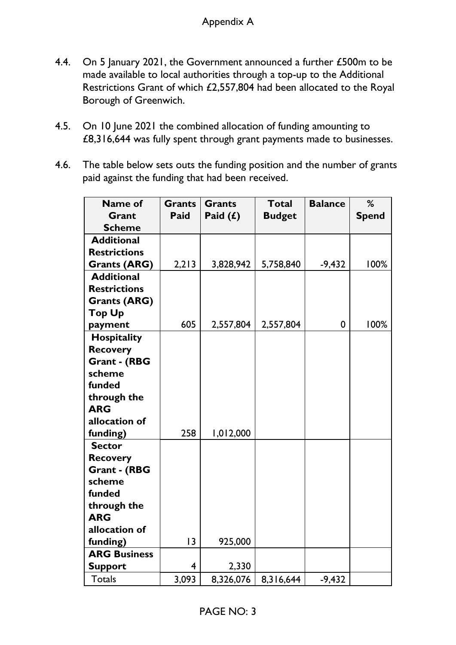- 4.4. On 5 January 2021, the Government announced a further £500m to be made available to local authorities through a top-up to the Additional Restrictions Grant of which £2,557,804 had been allocated to the Royal Borough of Greenwich.
- 4.5. On 10 June 2021 the combined allocation of funding amounting to £8,316,644 was fully spent through grant payments made to businesses.
- 4.6. The table below sets outs the funding position and the number of grants paid against the funding that had been received.

| Name of             | <b>Grants</b>  | <b>Grants</b> | <b>Total</b>  | <b>Balance</b> | %            |
|---------------------|----------------|---------------|---------------|----------------|--------------|
| Grant               | Paid           | Paid $(f)$    | <b>Budget</b> |                | <b>Spend</b> |
| <b>Scheme</b>       |                |               |               |                |              |
| <b>Additional</b>   |                |               |               |                |              |
| <b>Restrictions</b> |                |               |               |                |              |
| <b>Grants (ARG)</b> | 2,213          | 3,828,942     | 5,758,840     | $-9,432$       | 100%         |
| <b>Additional</b>   |                |               |               |                |              |
| <b>Restrictions</b> |                |               |               |                |              |
| <b>Grants (ARG)</b> |                |               |               |                |              |
| <b>Top Up</b>       |                |               |               |                |              |
| payment             | 605            | 2,557,804     | 2,557,804     | $\mathbf 0$    | 100%         |
| <b>Hospitality</b>  |                |               |               |                |              |
| <b>Recovery</b>     |                |               |               |                |              |
| <b>Grant - (RBG</b> |                |               |               |                |              |
| scheme              |                |               |               |                |              |
| funded              |                |               |               |                |              |
| through the         |                |               |               |                |              |
| <b>ARG</b>          |                |               |               |                |              |
| allocation of       |                |               |               |                |              |
| funding)            | 258            | 1,012,000     |               |                |              |
| <b>Sector</b>       |                |               |               |                |              |
| <b>Recovery</b>     |                |               |               |                |              |
| <b>Grant - (RBG</b> |                |               |               |                |              |
| scheme              |                |               |               |                |              |
| funded              |                |               |               |                |              |
| through the         |                |               |               |                |              |
| <b>ARG</b>          |                |               |               |                |              |
| allocation of       |                |               |               |                |              |
| funding)            | 13             | 925,000       |               |                |              |
| <b>ARG Business</b> |                |               |               |                |              |
| <b>Support</b>      | $\overline{4}$ | 2,330         |               |                |              |
| <b>Totals</b>       | 3,093          | 8,326,076     | 8,316,644     | $-9,432$       |              |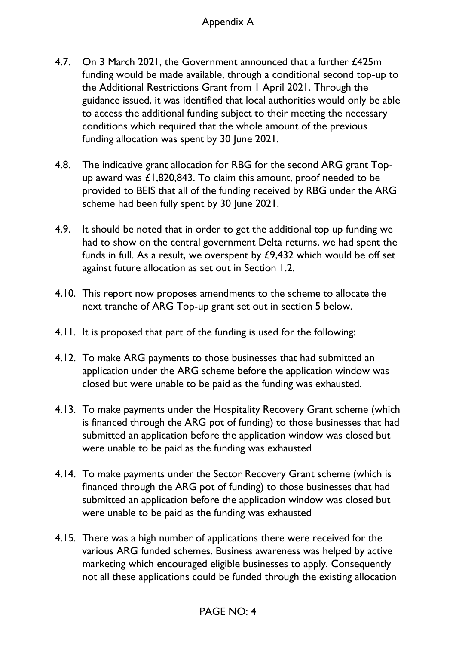### Appendix A

- 4.7. On 3 March 2021, the Government announced that a further £425m funding would be made available, through a conditional second top-up to the Additional Restrictions Grant from 1 April 2021. Through the guidance issued, it was identified that local authorities would only be able to access the additional funding subject to their meeting the necessary conditions which required that the whole amount of the previous funding allocation was spent by 30 June 2021.
- 4.8. The indicative grant allocation for RBG for the second ARG grant Topup award was £1,820,843. To claim this amount, proof needed to be provided to BEIS that all of the funding received by RBG under the ARG scheme had been fully spent by 30 June 2021.
- 4.9. It should be noted that in order to get the additional top up funding we had to show on the central government Delta returns, we had spent the funds in full. As a result, we overspent by £9,432 which would be off set against future allocation as set out in Section 1.2.
- 4.10. This report now proposes amendments to the scheme to allocate the next tranche of ARG Top-up grant set out in section 5 below.
- 4.11. It is proposed that part of the funding is used for the following:
- 4.12. To make ARG payments to those businesses that had submitted an application under the ARG scheme before the application window was closed but were unable to be paid as the funding was exhausted.
- 4.13. To make payments under the Hospitality Recovery Grant scheme (which is financed through the ARG pot of funding) to those businesses that had submitted an application before the application window was closed but were unable to be paid as the funding was exhausted
- 4.14. To make payments under the Sector Recovery Grant scheme (which is financed through the ARG pot of funding) to those businesses that had submitted an application before the application window was closed but were unable to be paid as the funding was exhausted
- 4.15. There was a high number of applications there were received for the various ARG funded schemes. Business awareness was helped by active marketing which encouraged eligible businesses to apply. Consequently not all these applications could be funded through the existing allocation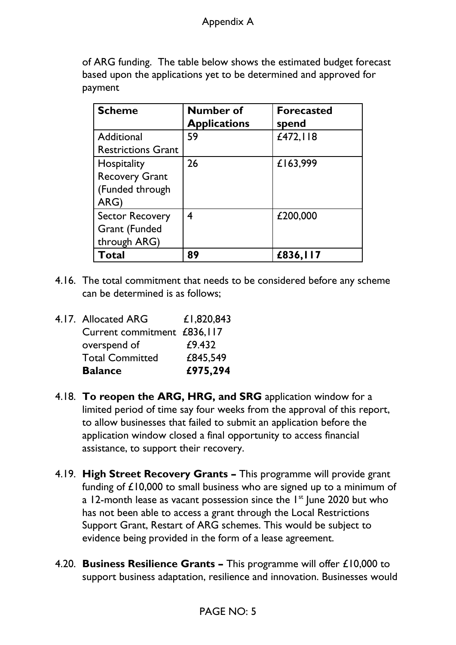### Appendix A

of ARG funding. The table below shows the estimated budget forecast based upon the applications yet to be determined and approved for payment

| <b>Scheme</b>                                                   | <b>Number of</b><br><b>Applications</b> | <b>Forecasted</b><br>spend |
|-----------------------------------------------------------------|-----------------------------------------|----------------------------|
| Additional<br><b>Restrictions Grant</b>                         | 59                                      | £472,118                   |
| Hospitality<br><b>Recovery Grant</b><br>(Funded through<br>ARG) | 26                                      | £163,999                   |
| <b>Sector Recovery</b><br><b>Grant</b> (Funded<br>through ARG)  | 4                                       | £200,000                   |
| <b>Total</b>                                                    | 89                                      | £836,117                   |

4.16. The total commitment that needs to be considered before any scheme can be determined is as follows;

| <b>Balance</b>              | £975,294   |
|-----------------------------|------------|
| <b>Total Committed</b>      | £845,549   |
| overspend of                | £9.432     |
| Current commitment £836,117 |            |
| 4.17. Allocated ARG         | £1,820,843 |

- 4.18. **To reopen the ARG, HRG, and SRG** application window for a limited period of time say four weeks from the approval of this report, to allow businesses that failed to submit an application before the application window closed a final opportunity to access financial assistance, to support their recovery.
- 4.19. **High Street Recovery Grants –** This programme will provide grant funding of £10,000 to small business who are signed up to a minimum of a 12-month lease as vacant possession since the  $1<sup>st</sup>$  lune 2020 but who has not been able to access a grant through the Local Restrictions Support Grant, Restart of ARG schemes. This would be subject to evidence being provided in the form of a lease agreement.
- 4.20. **Business Resilience Grants –** This programme will offer £10,000 to support business adaptation, resilience and innovation. Businesses would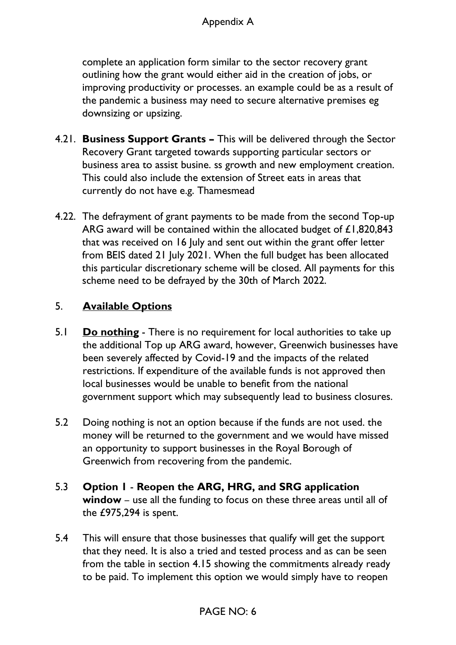complete an application form similar to the sector recovery grant outlining how the grant would either aid in the creation of jobs, or improving productivity or processes. an example could be as a result of the pandemic a business may need to secure alternative premises eg downsizing or upsizing.

- 4.21. **Business Support Grants –** This will be delivered through the Sector Recovery Grant targeted towards supporting particular sectors or business area to assist busine. ss growth and new employment creation. This could also include the extension of Street eats in areas that currently do not have e.g. Thamesmead
- 4.22. The defrayment of grant payments to be made from the second Top-up ARG award will be contained within the allocated budget of £1,820,843 that was received on 16 July and sent out within the grant offer letter from BEIS dated 21 July 2021. When the full budget has been allocated this particular discretionary scheme will be closed. All payments for this scheme need to be defrayed by the 30th of March 2022.

## 5. **Available Options**

- 5.1 **Do nothing** There is no requirement for local authorities to take up the additional Top up ARG award, however, Greenwich businesses have been severely affected by Covid-19 and the impacts of the related restrictions. If expenditure of the available funds is not approved then local businesses would be unable to benefit from the national government support which may subsequently lead to business closures.
- 5.2 Doing nothing is not an option because if the funds are not used. the money will be returned to the government and we would have missed an opportunity to support businesses in the Royal Borough of Greenwich from recovering from the pandemic.
- 5.3 **Option 1 Reopen the ARG, HRG, and SRG application window** – use all the funding to focus on these three areas until all of the £975,294 is spent.
- 5.4 This will ensure that those businesses that qualify will get the support that they need. It is also a tried and tested process and as can be seen from the table in section 4.15 showing the commitments already ready to be paid. To implement this option we would simply have to reopen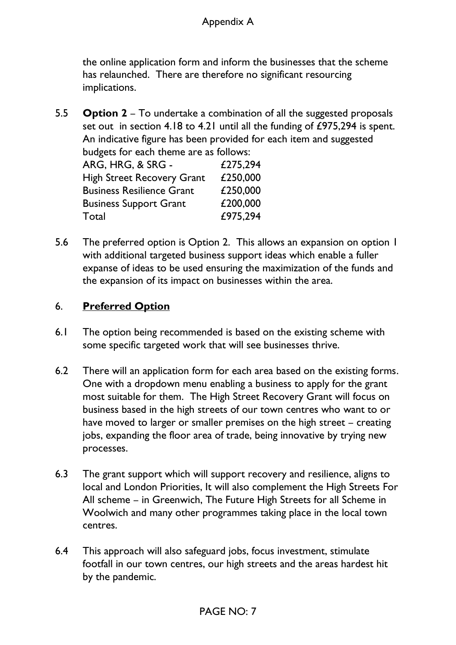the online application form and inform the businesses that the scheme has relaunched. There are therefore no significant resourcing implications.

5.5 **Option 2** – To undertake a combination of all the suggested proposals set out in section 4.18 to 4.21 until all the funding of £975,294 is spent. An indicative figure has been provided for each item and suggested budgets for each theme are as follows:

| <u>budgets</u> for each theme are as follows. |          |
|-----------------------------------------------|----------|
| ARG, HRG, & SRG -                             | £275,294 |
| <b>High Street Recovery Grant</b>             | £250,000 |
| <b>Business Resilience Grant</b>              | £250,000 |
| <b>Business Support Grant</b>                 | £200,000 |
| Total                                         | £975,294 |
|                                               |          |

5.6 The preferred option is Option 2. This allows an expansion on option 1 with additional targeted business support ideas which enable a fuller expanse of ideas to be used ensuring the maximization of the funds and the expansion of its impact on businesses within the area.

## 6. **Preferred Option**

- 6.1 The option being recommended is based on the existing scheme with some specific targeted work that will see businesses thrive.
- 6.2 There will an application form for each area based on the existing forms. One with a dropdown menu enabling a business to apply for the grant most suitable for them. The High Street Recovery Grant will focus on business based in the high streets of our town centres who want to or have moved to larger or smaller premises on the high street – creating jobs, expanding the floor area of trade, being innovative by trying new processes.
- 6.3 The grant support which will support recovery and resilience, aligns to local and London Priorities, It will also complement the High Streets For All scheme – in Greenwich, The Future High Streets for all Scheme in Woolwich and many other programmes taking place in the local town centres.
- 6.4 This approach will also safeguard jobs, focus investment, stimulate footfall in our town centres, our high streets and the areas hardest hit by the pandemic.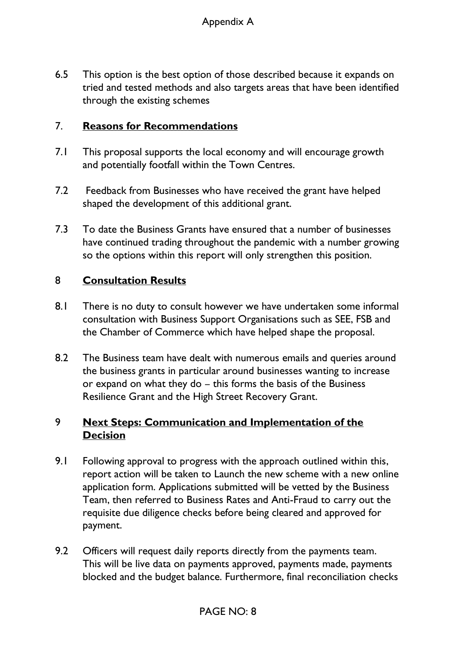6.5 This option is the best option of those described because it expands on tried and tested methods and also targets areas that have been identified through the existing schemes

### 7. **Reasons for Recommendations**

- 7.1 This proposal supports the local economy and will encourage growth and potentially footfall within the Town Centres.
- 7.2 Feedback from Businesses who have received the grant have helped shaped the development of this additional grant.
- 7.3 To date the Business Grants have ensured that a number of businesses have continued trading throughout the pandemic with a number growing so the options within this report will only strengthen this position.

### 8 **Consultation Results**

- 8.1 There is no duty to consult however we have undertaken some informal consultation with Business Support Organisations such as SEE, FSB and the Chamber of Commerce which have helped shape the proposal.
- 8.2 The Business team have dealt with numerous emails and queries around the business grants in particular around businesses wanting to increase or expand on what they do – this forms the basis of the Business Resilience Grant and the High Street Recovery Grant.

## 9 **Next Steps: Communication and Implementation of the Decision**

- 9.1 Following approval to progress with the approach outlined within this, report action will be taken to Launch the new scheme with a new online application form. Applications submitted will be vetted by the Business Team, then referred to Business Rates and Anti-Fraud to carry out the requisite due diligence checks before being cleared and approved for payment.
- 9.2 Officers will request daily reports directly from the payments team. This will be live data on payments approved, payments made, payments blocked and the budget balance. Furthermore, final reconciliation checks

### PAGE NO: 8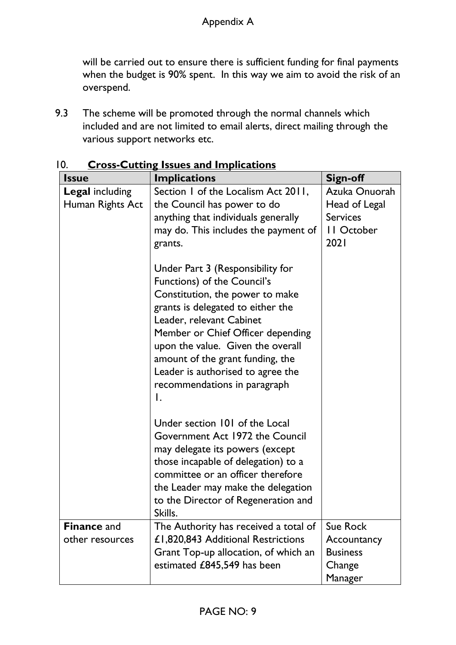will be carried out to ensure there is sufficient funding for final payments when the budget is 90% spent. In this way we aim to avoid the risk of an overspend.

9.3 The scheme will be promoted through the normal channels which included and are not limited to email alerts, direct mailing through the various support networks etc.

| <b>Issue</b>                               | <b>Implications</b>                                                                                                                                                                                                                                                                                                                                          | <b>Sign-off</b>                                                         |
|--------------------------------------------|--------------------------------------------------------------------------------------------------------------------------------------------------------------------------------------------------------------------------------------------------------------------------------------------------------------------------------------------------------------|-------------------------------------------------------------------------|
| <b>Legal including</b><br>Human Rights Act | Section 1 of the Localism Act 2011,<br>the Council has power to do<br>anything that individuals generally<br>may do. This includes the payment of<br>grants.                                                                                                                                                                                                 | Azuka Onuorah<br>Head of Legal<br><b>Services</b><br>II October<br>2021 |
|                                            | Under Part 3 (Responsibility for<br>Functions) of the Council's<br>Constitution, the power to make<br>grants is delegated to either the<br>Leader, relevant Cabinet<br>Member or Chief Officer depending<br>upon the value. Given the overall<br>amount of the grant funding, the<br>Leader is authorised to agree the<br>recommendations in paragraph<br>Ι. |                                                                         |
|                                            | Under section 101 of the Local<br>Government Act 1972 the Council<br>may delegate its powers (except<br>those incapable of delegation) to a<br>committee or an officer therefore<br>the Leader may make the delegation<br>to the Director of Regeneration and<br>Skills.                                                                                     |                                                                         |
| <b>Finance and</b><br>other resources      | The Authority has received a total of<br>£1,820,843 Additional Restrictions<br>Grant Top-up allocation, of which an<br>estimated £845,549 has been                                                                                                                                                                                                           | <b>Sue Rock</b><br>Accountancy<br><b>Business</b><br>Change<br>Manager  |

10. **Cross-Cutting Issues and Implications**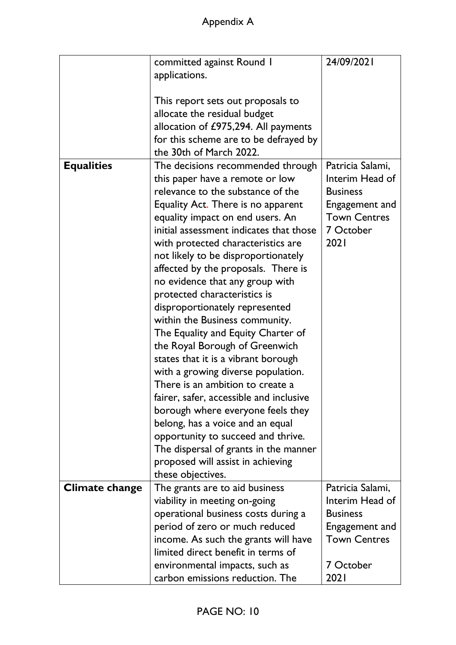|                   | committed against Round 1               | 24/09/2021          |
|-------------------|-----------------------------------------|---------------------|
|                   | applications.                           |                     |
|                   |                                         |                     |
|                   | This report sets out proposals to       |                     |
|                   | allocate the residual budget            |                     |
|                   | allocation of £975,294. All payments    |                     |
|                   | for this scheme are to be defrayed by   |                     |
|                   | the 30th of March 2022.                 |                     |
|                   |                                         |                     |
| <b>Equalities</b> | The decisions recommended through       | Patricia Salami,    |
|                   | this paper have a remote or low         | Interim Head of     |
|                   | relevance to the substance of the       | <b>Business</b>     |
|                   | Equality Act. There is no apparent      | Engagement and      |
|                   | equality impact on end users. An        | <b>Town Centres</b> |
|                   | initial assessment indicates that those | 7 October           |
|                   | with protected characteristics are      | 2021                |
|                   | not likely to be disproportionately     |                     |
|                   | affected by the proposals. There is     |                     |
|                   | no evidence that any group with         |                     |
|                   | protected characteristics is            |                     |
|                   | disproportionately represented          |                     |
|                   | within the Business community.          |                     |
|                   | The Equality and Equity Charter of      |                     |
|                   | the Royal Borough of Greenwich          |                     |
|                   | states that it is a vibrant borough     |                     |
|                   | with a growing diverse population.      |                     |
|                   | There is an ambition to create a        |                     |
|                   | fairer, safer, accessible and inclusive |                     |
|                   | borough where everyone feels they       |                     |
|                   | belong, has a voice and an equal        |                     |
|                   | opportunity to succeed and thrive.      |                     |
|                   |                                         |                     |
|                   | The dispersal of grants in the manner   |                     |
|                   | proposed will assist in achieving       |                     |
|                   | these objectives.                       |                     |
| Climate change    | The grants are to aid business          | Patricia Salami,    |
|                   | viability in meeting on-going           | Interim Head of     |
|                   | operational business costs during a     | <b>Business</b>     |
|                   | period of zero or much reduced          | Engagement and      |
|                   | income. As such the grants will have    | <b>Town Centres</b> |
|                   | limited direct benefit in terms of      |                     |
|                   | environmental impacts, such as          | 7 October           |
|                   | carbon emissions reduction. The         | 2021                |